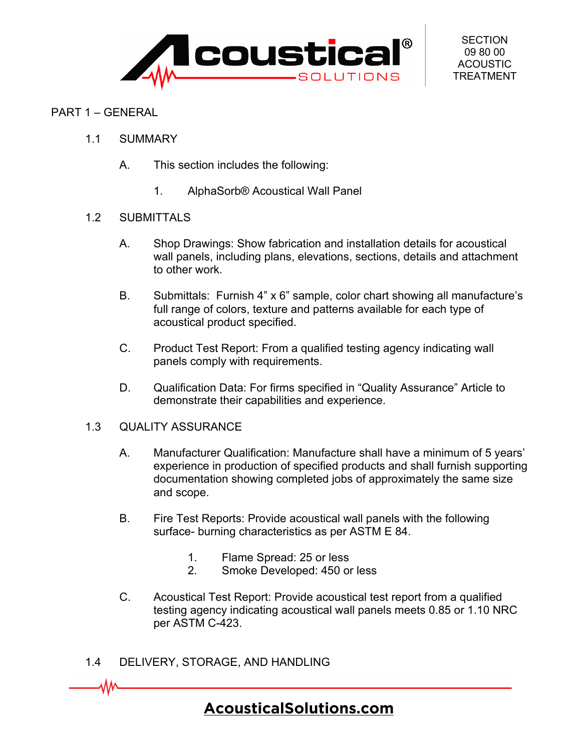

#### PART 1 – GENERAL

- 1.1 SUMMARY
	- A. This section includes the following:
		- 1. AlphaSorb® Acoustical Wall Panel

#### 1.2 SUBMITTALS

- A. Shop Drawings: Show fabrication and installation details for acoustical wall panels, including plans, elevations, sections, details and attachment to other work.
- B. Submittals: Furnish 4" x 6" sample, color chart showing all manufacture's full range of colors, texture and patterns available for each type of acoustical product specified.
- C. Product Test Report: From a qualified testing agency indicating wall panels comply with requirements.
- D. Qualification Data: For firms specified in "Quality Assurance" Article to demonstrate their capabilities and experience.

#### 1.3 QUALITY ASSURANCE

- A. Manufacturer Qualification: Manufacture shall have a minimum of 5 years' experience in production of specified products and shall furnish supporting documentation showing completed jobs of approximately the same size and scope.
- B. Fire Test Reports: Provide acoustical wall panels with the following surface- burning characteristics as per ASTM E 84.
	- 1. Flame Spread: 25 or less
	- 2. Smoke Developed: 450 or less
- C. Acoustical Test Report: Provide acoustical test report from a qualified testing agency indicating acoustical wall panels meets 0.85 or 1.10 NRC per ASTM C-423.
- 1.4 DELIVERY, STORAGE, AND HANDLING

W

## **[AcousticalSolutions.com](https://acousticalsolutions.com/)**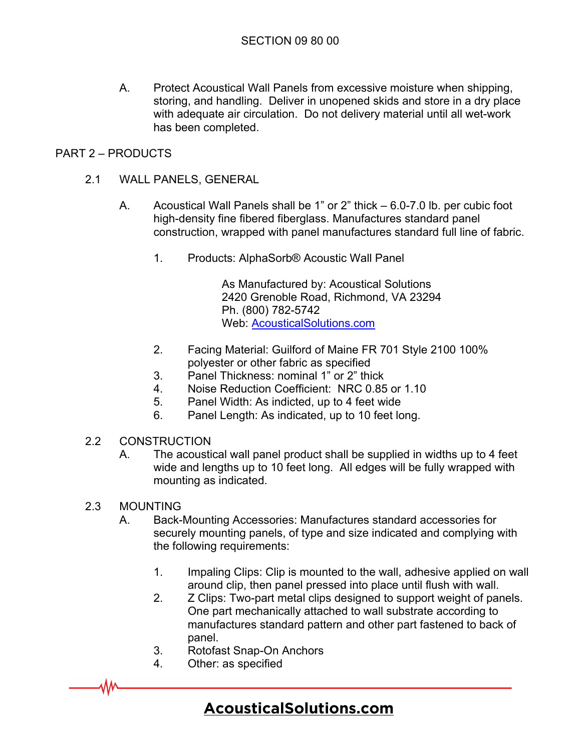A. Protect Acoustical Wall Panels from excessive moisture when shipping, storing, and handling. Deliver in unopened skids and store in a dry place with adequate air circulation. Do not delivery material until all wet-work has been completed.

### PART 2 – PRODUCTS

- 2.1 WALL PANELS, GENERAL
	- A. Acoustical Wall Panels shall be 1" or 2" thick 6.0-7.0 lb. per cubic foot high-density fine fibered fiberglass. Manufactures standard panel construction, wrapped with panel manufactures standard full line of fabric.
		- 1. Products: AlphaSorb® Acoustic Wall Panel

As Manufactured by: Acoustical Solutions 2420 Grenoble Road, Richmond, VA 23294 Ph. (800) 782-5742 Web: [AcousticalSolutions.com](https://acousticalsolutions.com/)

- 2. Facing Material: Guilford of Maine FR 701 Style 2100 100% polyester or other fabric as specified
- 3. Panel Thickness: nominal 1" or 2" thick
- 4. Noise Reduction Coefficient: NRC 0.85 or 1.10
- 5. Panel Width: As indicted, up to 4 feet wide
- 6. Panel Length: As indicated, up to 10 feet long.
- 2.2 CONSTRUCTION
	- A. The acoustical wall panel product shall be supplied in widths up to 4 feet wide and lengths up to 10 feet long. All edges will be fully wrapped with mounting as indicated.
- 2.3 MOUNTING

۸W

- A. Back-Mounting Accessories: Manufactures standard accessories for securely mounting panels, of type and size indicated and complying with the following requirements:
	- 1. Impaling Clips: Clip is mounted to the wall, adhesive applied on wall around clip, then panel pressed into place until flush with wall.
	- 2. Z Clips: Two-part metal clips designed to support weight of panels. One part mechanically attached to wall substrate according to manufactures standard pattern and other part fastened to back of panel.
	- 3. Rotofast Snap-On Anchors
	- 4. Other: as specified

# **[AcousticalSolutions.com](https://acousticalsolutions.com/)**